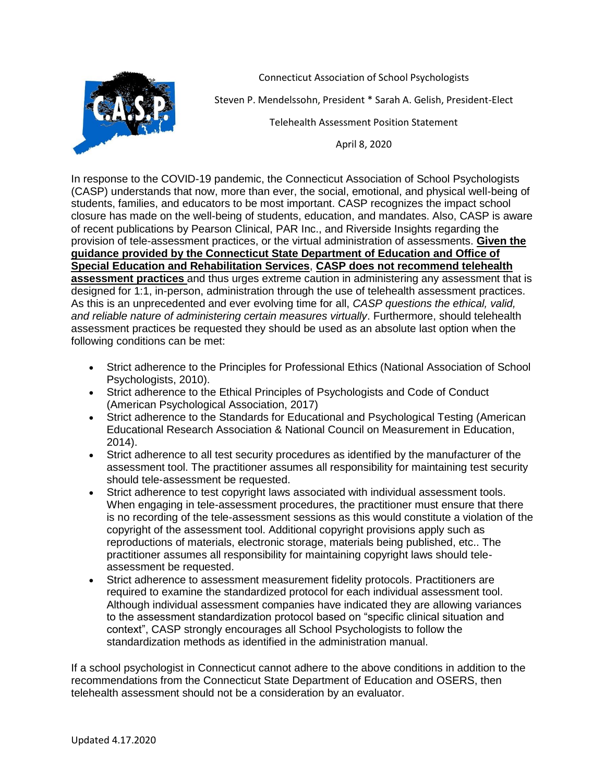

Connecticut Association of School Psychologists

Steven P. Mendelssohn, President \* Sarah A. Gelish, President-Elect

Telehealth Assessment Position Statement

April 8, 2020

In response to the COVID-19 pandemic, the Connecticut Association of School Psychologists (CASP) understands that now, more than ever, the social, emotional, and physical well-being of students, families, and educators to be most important. CASP recognizes the impact school closure has made on the well-being of students, education, and mandates. Also, CASP is aware of recent publications by Pearson Clinical, PAR Inc., and Riverside Insights regarding the provision of tele-assessment practices, or the virtual administration of assessments. **Given the guidance provided by the Connecticut State Department of Education and Office of Special Education and Rehabilitation Services**, **CASP does not recommend telehealth assessment practices** and thus urges extreme caution in administering any assessment that is designed for 1:1, in-person, administration through the use of telehealth assessment practices. As this is an unprecedented and ever evolving time for all, *CASP questions the ethical, valid, and reliable nature of administering certain measures virtually*. Furthermore, should telehealth assessment practices be requested they should be used as an absolute last option when the following conditions can be met:

- Strict adherence to the Principles for Professional Ethics (National Association of School Psychologists, 2010).
- Strict adherence to the Ethical Principles of Psychologists and Code of Conduct (American Psychological Association, 2017)
- Strict adherence to the Standards for Educational and Psychological Testing (American Educational Research Association & National Council on Measurement in Education, 2014).
- Strict adherence to all test security procedures as identified by the manufacturer of the assessment tool. The practitioner assumes all responsibility for maintaining test security should tele-assessment be requested.
- Strict adherence to test copyright laws associated with individual assessment tools. When engaging in tele-assessment procedures, the practitioner must ensure that there is no recording of the tele-assessment sessions as this would constitute a violation of the copyright of the assessment tool. Additional copyright provisions apply such as reproductions of materials, electronic storage, materials being published, etc.. The practitioner assumes all responsibility for maintaining copyright laws should teleassessment be requested.
- Strict adherence to assessment measurement fidelity protocols. Practitioners are required to examine the standardized protocol for each individual assessment tool. Although individual assessment companies have indicated they are allowing variances to the assessment standardization protocol based on "specific clinical situation and context", CASP strongly encourages all School Psychologists to follow the standardization methods as identified in the administration manual.

If a school psychologist in Connecticut cannot adhere to the above conditions in addition to the recommendations from the Connecticut State Department of Education and OSERS, then telehealth assessment should not be a consideration by an evaluator.